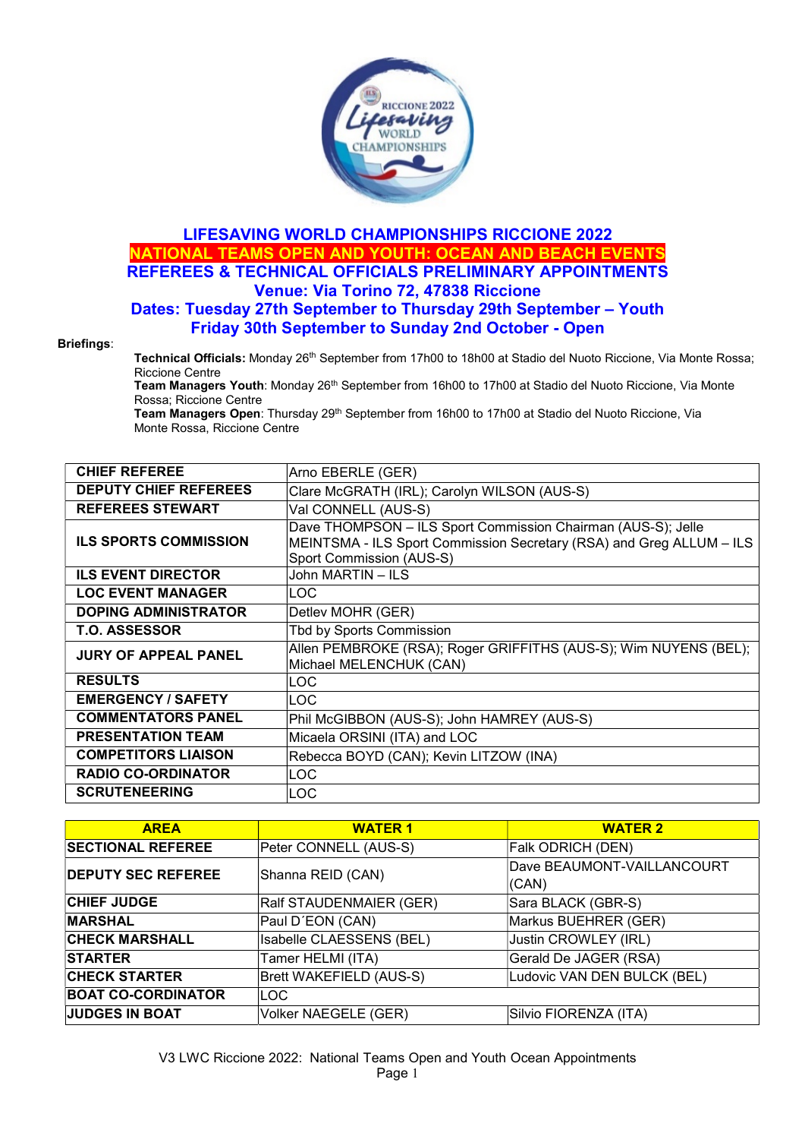

## LIFESAVING WORLD CHAMPIONSHIPS RICCIONE 2022 NATIONAL TEAMS OPEN AND YOUTH: OCEAN AND BEACH EVENTS REFEREES & TECHNICAL OFFICIALS PRELIMINARY APPOINTMENTS Venue: Via Torino 72, 47838 Riccione

## Dates: Tuesday 27th September to Thursday 29th September – Youth Friday 30th September to Sunday 2nd October - Open

## Briefings:

Technical Officials: Monday 26<sup>th</sup> September from 17h00 to 18h00 at Stadio del Nuoto Riccione, Via Monte Rossa; Riccione Centre

Team Managers Youth: Monday 26<sup>th</sup> September from 16h00 to 17h00 at Stadio del Nuoto Riccione, Via Monte Rossa; Riccione Centre

Team Managers Open: Thursday 29<sup>th</sup> September from 16h00 to 17h00 at Stadio del Nuoto Riccione, Via Monte Rossa, Riccione Centre

| <b>CHIEF REFEREE</b>         | Arno EBERLE (GER)                                                                                                                                                |
|------------------------------|------------------------------------------------------------------------------------------------------------------------------------------------------------------|
| <b>DEPUTY CHIEF REFEREES</b> | Clare McGRATH (IRL); Carolyn WILSON (AUS-S)                                                                                                                      |
| <b>REFEREES STEWART</b>      | Val CONNELL (AUS-S)                                                                                                                                              |
| <b>ILS SPORTS COMMISSION</b> | Dave THOMPSON - ILS Sport Commission Chairman (AUS-S); Jelle<br>MEINTSMA - ILS Sport Commission Secretary (RSA) and Greg ALLUM - ILS<br>Sport Commission (AUS-S) |
| <b>ILS EVENT DIRECTOR</b>    | John MARTIN - ILS                                                                                                                                                |
| <b>LOC EVENT MANAGER</b>     | LOC                                                                                                                                                              |
| <b>DOPING ADMINISTRATOR</b>  | Detlev MOHR (GER)                                                                                                                                                |
| <b>T.O. ASSESSOR</b>         | Tbd by Sports Commission                                                                                                                                         |
| <b>JURY OF APPEAL PANEL</b>  | Allen PEMBROKE (RSA); Roger GRIFFITHS (AUS-S); Wim NUYENS (BEL);<br>Michael MELENCHUK (CAN)                                                                      |
| <b>RESULTS</b>               | LOC                                                                                                                                                              |
| <b>EMERGENCY / SAFETY</b>    | LOC                                                                                                                                                              |
| <b>COMMENTATORS PANEL</b>    | Phil McGIBBON (AUS-S); John HAMREY (AUS-S)                                                                                                                       |
| <b>PRESENTATION TEAM</b>     | Micaela ORSINI (ITA) and LOC                                                                                                                                     |
| <b>COMPETITORS LIAISON</b>   | Rebecca BOYD (CAN); Kevin LITZOW (INA)                                                                                                                           |
| <b>RADIO CO-ORDINATOR</b>    | LOC                                                                                                                                                              |
| <b>SCRUTENEERING</b>         | <b>LOC</b>                                                                                                                                                       |

| <b>AREA</b>               | <b>WATER 1</b>           | <b>WATER 2</b>                      |
|---------------------------|--------------------------|-------------------------------------|
| <b>SECTIONAL REFEREE</b>  | Peter CONNELL (AUS-S)    | Falk ODRICH (DEN)                   |
| <b>DEPUTY SEC REFEREE</b> | Shanna REID (CAN)        | Dave BEAUMONT-VAILLANCOURT<br>(CAN) |
| <b>CHIEF JUDGE</b>        | Ralf STAUDENMAIER (GER)  | Sara BLACK (GBR-S)                  |
| <b>MARSHAL</b>            | Paul D'EON (CAN)         | Markus BUEHRER (GER)                |
| <b>CHECK MARSHALL</b>     | Isabelle CLAESSENS (BEL) | Justin CROWLEY (IRL)                |
| <b>STARTER</b>            | Tamer HELMI (ITA)        | Gerald De JAGER (RSA)               |
| <b>CHECK STARTER</b>      | Brett WAKEFIELD (AUS-S)  | Ludovic VAN DEN BULCK (BEL)         |
| <b>BOAT CO-CORDINATOR</b> | <b>LOC</b>               |                                     |
| <b>JUDGES IN BOAT</b>     | Volker NAEGELE (GER)     | Silvio FIORENZA (ITA)               |